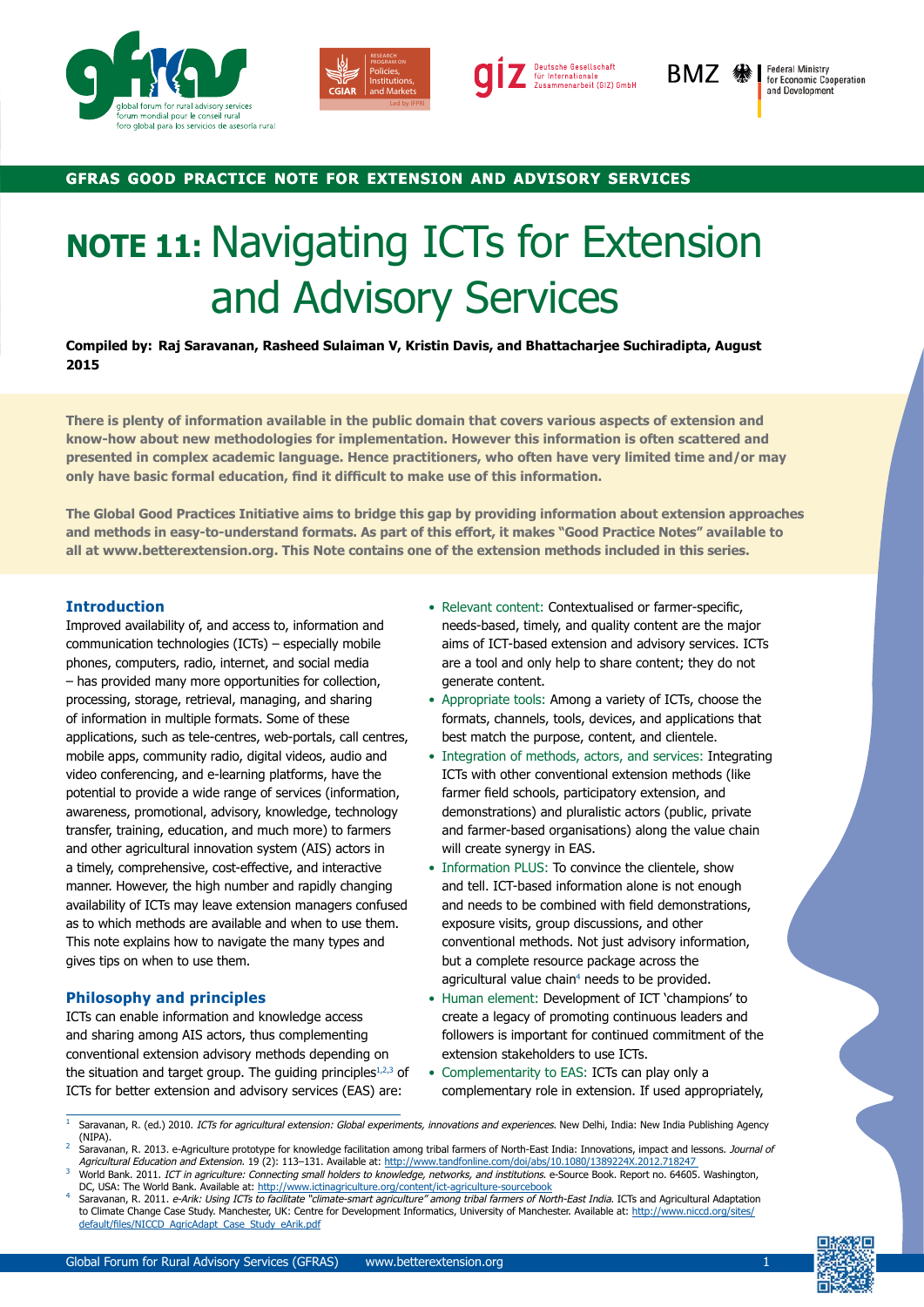





BMZ #

**Federal Ministry<br>for Economic Cooperation** and Development

## **gfras good practice note for extension and advisory services**

# **NOTE 11:** Navigating ICTs for Extension and Advisory Services

**Compiled by: Raj Saravanan, Rasheed Sulaiman V, Kristin Davis, and Bhattacharjee Suchiradipta, August 2015**

**There is plenty of information available in the public domain that covers various aspects of extension and know-how about new methodologies for implementation. However this information is often scattered and presented in complex academic language. Hence practitioners, who often have very limited time and/or may only have basic formal education, find it difficult to make use of this information.** 

**The Global Good Practices Initiative aims to bridge this gap by providing information about extension approaches and methods in easy-to-understand formats. As part of this effort, it makes "Good Practice Notes" available to all at www.betterextension.org. This Note contains one of the extension methods included in this series.**

### **Introduction**

Improved availability of, and access to, information and communication technologies (ICTs) – especially mobile phones, computers, radio, internet, and social media – has provided many more opportunities for collection, processing, storage, retrieval, managing, and sharing of information in multiple formats. Some of these applications, such as tele-centres, web-portals, call centres, mobile apps, community radio, digital videos, audio and video conferencing, and e-learning platforms, have the potential to provide a wide range of services (information, awareness, promotional, advisory, knowledge, technology transfer, training, education, and much more) to farmers and other agricultural innovation system (AIS) actors in a timely, comprehensive, cost-effective, and interactive manner. However, the high number and rapidly changing availability of ICTs may leave extension managers confused as to which methods are available and when to use them. This note explains how to navigate the many types and gives tips on when to use them.

### **Philosophy and principles**

ICTs can enable information and knowledge access and sharing among AIS actors, thus complementing conventional extension advisory methods depending on the situation and target group. The guiding principles $1,2,3$  of ICTs for better extension and advisory services (EAS) are:

- Relevant content: Contextualised or farmer-specific, needs-based, timely, and quality content are the major aims of ICT-based extension and advisory services. ICTs are a tool and only help to share content; they do not generate content.
- Appropriate tools: Among a variety of ICTs, choose the formats, channels, tools, devices, and applications that best match the purpose, content, and clientele.
- Integration of methods, actors, and services: Integrating ICTs with other conventional extension methods (like farmer field schools, participatory extension, and demonstrations) and pluralistic actors (public, private and farmer-based organisations) along the value chain will create synergy in EAS.
- Information PLUS: To convince the clientele, show and tell. ICT-based information alone is not enough and needs to be combined with field demonstrations, exposure visits, group discussions, and other conventional methods. Not just advisory information, but a complete resource package across the agricultural value chain<sup>4</sup> needs to be provided.
- Human element: Development of ICT 'champions' to create a legacy of promoting continuous leaders and followers is important for continued commitment of the extension stakeholders to use ICTs.
- Complementarity to EAS: ICTs can play only a complementary role in extension. If used appropriately,



Saravanan, R. (ed.) 2010. ICTs for agricultural extension: Global experiments, innovations and experiences. New Delhi, India: New India Publishing Agency (NIPA).

Saravanan, R. 2013. e-Agriculture prototype for knowledge facilitation among tribal farmers of North-East India: Innovations, impact and lessons. Journal of Agricultural Education and Extension. 19 (2): 113-131. Available at: http://www.tandfonline.com/doi/abs/10.1080/1389224X.2012.7182

World Bank. 2011. ICT in agriculture: Connecting small holders to knowledge, networks, and institutions. e-Source Book. Report no. 64605. Washington, DC, USA: The World Bank. Available at:<http://www.ictinagriculture.org/content/ict-agriculture-sourcebook>

Saravanan, R. 2011. e-Arik: Using ICTs to facilitate "climate-smart agriculture" among tribal farmers of North-East India. ICTs and Agricultural Adaptation to Climate Change Case Study. Manchester, UK: Centre for Development Informatics, University of Manchester. Available at: http://www.niccd.org/sites/ default/files/NICCD\_AgricAdapt\_Case\_Study\_eArik.pdf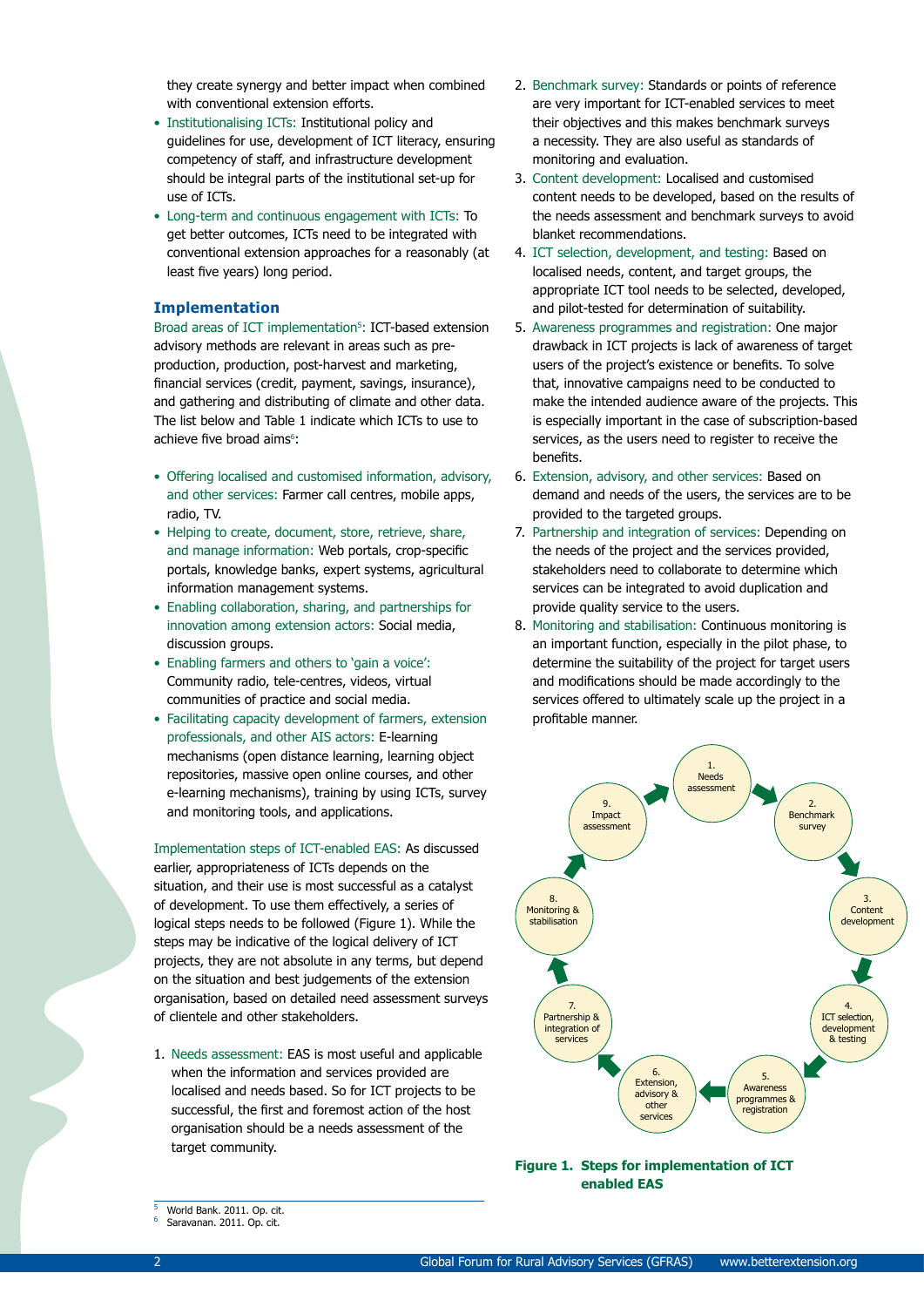they create synergy and better impact when combined with conventional extension efforts.

- Institutionalising ICTs: Institutional policy and guidelines for use, development of ICT literacy, ensuring competency of staff, and infrastructure development should be integral parts of the institutional set-up for use of ICTs.
- Long-term and continuous engagement with ICTs: To get better outcomes, ICTs need to be integrated with conventional extension approaches for a reasonably (at least five years) long period.

### **Implementation**

Broad areas of ICT implementation<sup>5</sup>: ICT-based extension advisory methods are relevant in areas such as preproduction, production, post-harvest and marketing, financial services (credit, payment, savings, insurance), and gathering and distributing of climate and other data. The list below and Table 1 indicate which ICTs to use to achieve five broad aims<sup>6</sup>:

- Offering localised and customised information, advisory, and other services: Farmer call centres, mobile apps, radio, TV.
- Helping to create, document, store, retrieve, share, and manage information: Web portals, crop-specific portals, knowledge banks, expert systems, agricultural information management systems.
- Enabling collaboration, sharing, and partnerships for innovation among extension actors: Social media, discussion groups.
- Enabling farmers and others to 'gain a voice': Community radio, tele-centres, videos, virtual communities of practice and social media.
- Facilitating capacity development of farmers, extension professionals, and other AIS actors: E-learning mechanisms (open distance learning, learning object repositories, massive open online courses, and other e-learning mechanisms), training by using ICTs, survey and monitoring tools, and applications.

Implementation steps of ICT-enabled EAS: As discussed earlier, appropriateness of ICTs depends on the situation, and their use is most successful as a catalyst of development. To use them effectively, a series of logical steps needs to be followed (Figure 1). While the steps may be indicative of the logical delivery of ICT projects, they are not absolute in any terms, but depend on the situation and best judgements of the extension organisation, based on detailed need assessment surveys of clientele and other stakeholders.

1. Needs assessment: EAS is most useful and applicable when the information and services provided are localised and needs based. So for ICT projects to be successful, the first and foremost action of the host organisation should be a needs assessment of the target community.

- 2. Benchmark survey: Standards or points of reference are very important for ICT-enabled services to meet their objectives and this makes benchmark surveys a necessity. They are also useful as standards of monitoring and evaluation.
- 3. Content development: Localised and customised content needs to be developed, based on the results of the needs assessment and benchmark surveys to avoid blanket recommendations.
- 4. ICT selection, development, and testing: Based on localised needs, content, and target groups, the appropriate ICT tool needs to be selected, developed, and pilot-tested for determination of suitability.
- 5. Awareness programmes and registration: One major drawback in ICT projects is lack of awareness of target users of the project's existence or benefits. To solve that, innovative campaigns need to be conducted to make the intended audience aware of the projects. This is especially important in the case of subscription-based services, as the users need to register to receive the benefits.
- 6. Extension, advisory, and other services: Based on demand and needs of the users, the services are to be provided to the targeted groups.
- 7. Partnership and integration of services: Depending on the needs of the project and the services provided, stakeholders need to collaborate to determine which services can be integrated to avoid duplication and provide quality service to the users.
- 8. Monitoring and stabilisation: Continuous monitoring is an important function, especially in the pilot phase, to determine the suitability of the project for target users and modifications should be made accordingly to the services offered to ultimately scale up the project in a profitable manner.



**Figure 1. Steps for implementation of ICT enabled EAS**

World Bank. 2011. Op. cit.

<sup>6</sup> Saravanan. 2011. Op. cit.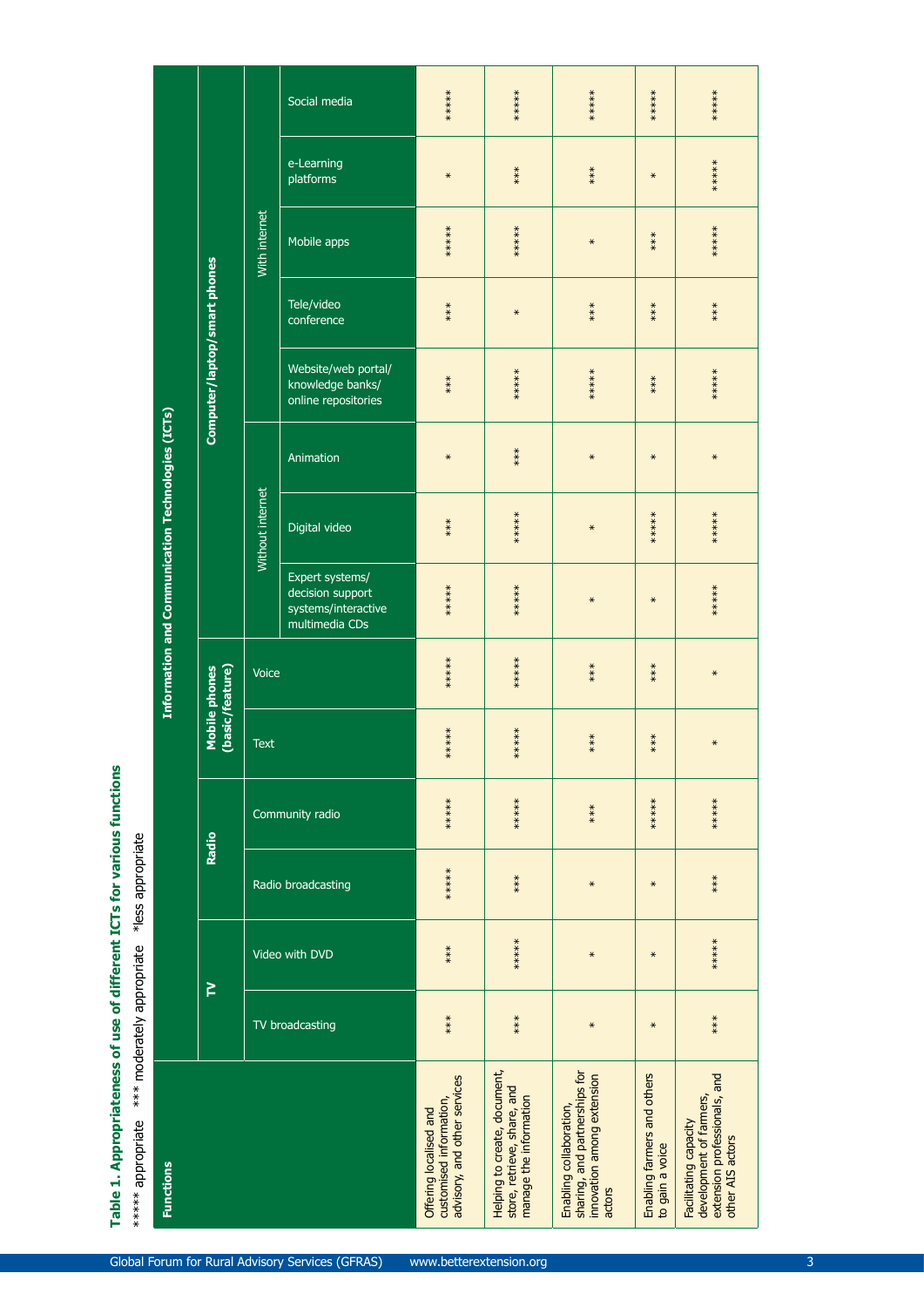|                    |                                                   |                                  |                         | Social media                                                                 | ******                                                                            | ******                                                                                | ******                                                                                           | ******                                         | ******                                                                                               |
|--------------------|---------------------------------------------------|----------------------------------|-------------------------|------------------------------------------------------------------------------|-----------------------------------------------------------------------------------|---------------------------------------------------------------------------------------|--------------------------------------------------------------------------------------------------|------------------------------------------------|------------------------------------------------------------------------------------------------------|
|                    |                                                   |                                  |                         | e-Learning<br>platforms                                                      | $\star$                                                                           | $***$                                                                                 | $***$                                                                                            | $\ast$                                         | ******                                                                                               |
|                    |                                                   |                                  | With internet           | Mobile apps                                                                  | ******                                                                            | ******                                                                                | $\star$                                                                                          | $***$                                          | ******                                                                                               |
|                    |                                                   |                                  |                         | Tele/video<br>conference                                                     | $***$                                                                             | $\star$                                                                               | $***$                                                                                            | $***$                                          | $***$                                                                                                |
|                    |                                                   | Computer/laptop/smart phones     |                         | Website/web portal/<br>knowledge banks/<br>online repositories               | $***$                                                                             | ******                                                                                | ******                                                                                           | $***$                                          | ******                                                                                               |
|                    |                                                   |                                  |                         | Animation                                                                    | $\ast$                                                                            | $***$                                                                                 | $\ast$                                                                                           | $\ast$                                         | $\star$                                                                                              |
|                    |                                                   |                                  | <b>Without internet</b> | Digital video                                                                | $***$                                                                             | ******                                                                                | $\star$                                                                                          | ******                                         | ******                                                                                               |
|                    | Information and Communication Technologies (ICTs) |                                  |                         | Expert systems/<br>decision support<br>systems/interactive<br>multimedia CDs | ******                                                                            | ******                                                                                | $\ast$                                                                                           | $\ast$                                         | ******                                                                                               |
|                    |                                                   | (basic/feature)<br>Mobile phones | Voice                   |                                                                              | ******                                                                            | ******                                                                                | $***$                                                                                            | $***$                                          | $\ast$                                                                                               |
|                    |                                                   |                                  | <b>Text</b>             |                                                                              | ******                                                                            | ******                                                                                | $***$                                                                                            | $***$                                          | $\star$                                                                                              |
|                    |                                                   | Radio                            |                         | Community radio                                                              | ******                                                                            | ******                                                                                | $***$                                                                                            | ******                                         | $***$<br>$**$                                                                                        |
| her in the cent    |                                                   |                                  |                         | Radio broadcasting                                                           | ******                                                                            | $***$                                                                                 | $\star$                                                                                          | $\star$                                        | $***$                                                                                                |
|                    |                                                   |                                  |                         | Video with DVD                                                               | $***$                                                                             | ******                                                                                | $\star$                                                                                          | $\ast$                                         | ******                                                                                               |
|                    |                                                   | P                                |                         | TV broadcasting                                                              | $***$                                                                             | $***$                                                                                 | $\ast$                                                                                           | $\ast$                                         | $***$                                                                                                |
| Christan Structure | <b>Functions</b>                                  |                                  |                         |                                                                              | advisory, and other services<br>customised information,<br>Offering localised and | Helping to create, document,<br>store, retrieve, share, and<br>manage the information | sharing, and partnerships for<br>innovation among extension<br>Enabling collaboration,<br>actors | Enabling farmers and others<br>to gain a voice | extension professionals, and<br>development of farmers,<br>Facilitating capacity<br>other AIS actors |

# Table 1. Appropriateness of use of different ICTs for various functions

\*\*\*\*\* appropriate \*\*\* moderately appropriate \*less appropriate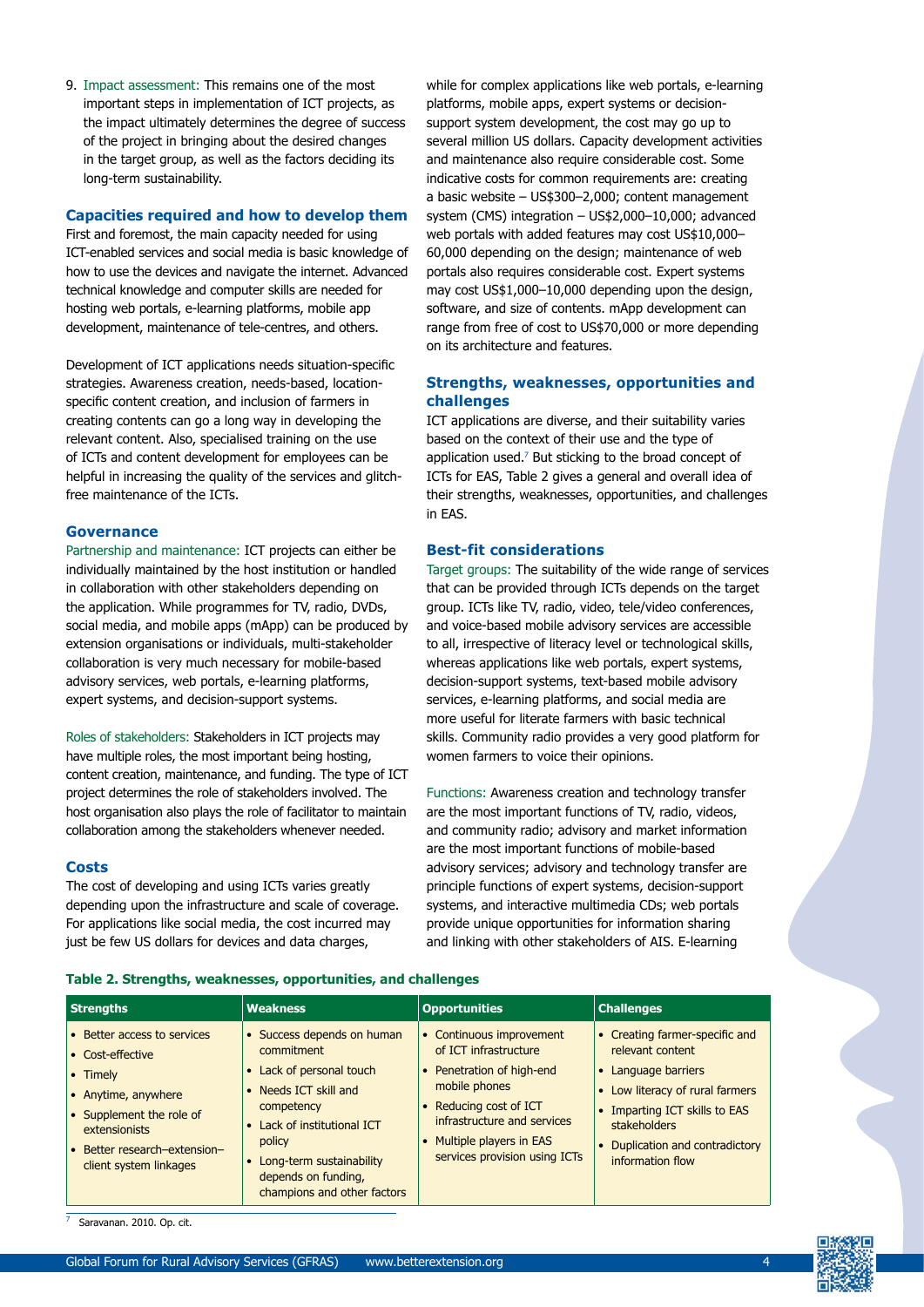9. Impact assessment: This remains one of the most important steps in implementation of ICT projects, as the impact ultimately determines the degree of success of the project in bringing about the desired changes in the target group, as well as the factors deciding its long-term sustainability.

### **Capacities required and how to develop them**

First and foremost, the main capacity needed for using ICT-enabled services and social media is basic knowledge of how to use the devices and navigate the internet. Advanced technical knowledge and computer skills are needed for hosting web portals, e-learning platforms, mobile app development, maintenance of tele-centres, and others.

Development of ICT applications needs situation-specific strategies. Awareness creation, needs-based, locationspecific content creation, and inclusion of farmers in creating contents can go a long way in developing the relevant content. Also, specialised training on the use of ICTs and content development for employees can be helpful in increasing the quality of the services and glitchfree maintenance of the ICTs.

### **Governance**

Partnership and maintenance: ICT projects can either be individually maintained by the host institution or handled in collaboration with other stakeholders depending on the application. While programmes for TV, radio, DVDs, social media, and mobile apps (mApp) can be produced by extension organisations or individuals, multi-stakeholder collaboration is very much necessary for mobile-based advisory services, web portals, e-learning platforms, expert systems, and decision-support systems.

Roles of stakeholders: Stakeholders in ICT projects may have multiple roles, the most important being hosting, content creation, maintenance, and funding. The type of ICT project determines the role of stakeholders involved. The host organisation also plays the role of facilitator to maintain collaboration among the stakeholders whenever needed.

### **Costs**

The cost of developing and using ICTs varies greatly depending upon the infrastructure and scale of coverage. For applications like social media, the cost incurred may just be few US dollars for devices and data charges,

while for complex applications like web portals, e-learning platforms, mobile apps, expert systems or decisionsupport system development, the cost may go up to several million US dollars. Capacity development activities and maintenance also require considerable cost. Some indicative costs for common requirements are: creating a basic website – US\$300–2,000; content management system (CMS) integration – US\$2,000–10,000; advanced web portals with added features may cost US\$10,000– 60,000 depending on the design; maintenance of web portals also requires considerable cost. Expert systems may cost US\$1,000–10,000 depending upon the design, software, and size of contents. mApp development can range from free of cost to US\$70,000 or more depending on its architecture and features.

### **Strengths, weaknesses, opportunities and challenges**

ICT applications are diverse, and their suitability varies based on the context of their use and the type of application used.<sup>7</sup> But sticking to the broad concept of ICTs for EAS, Table 2 gives a general and overall idea of their strengths, weaknesses, opportunities, and challenges in EAS.

### **Best-fit considerations**

Target groups: The suitability of the wide range of services that can be provided through ICTs depends on the target group. ICTs like TV, radio, video, tele/video conferences, and voice-based mobile advisory services are accessible to all, irrespective of literacy level or technological skills, whereas applications like web portals, expert systems, decision-support systems, text-based mobile advisory services, e-learning platforms, and social media are more useful for literate farmers with basic technical skills. Community radio provides a very good platform for women farmers to voice their opinions.

Functions: Awareness creation and technology transfer are the most important functions of TV, radio, videos, and community radio; advisory and market information are the most important functions of mobile-based advisory services; advisory and technology transfer are principle functions of expert systems, decision-support systems, and interactive multimedia CDs; web portals provide unique opportunities for information sharing and linking with other stakeholders of AIS. E-learning

| <b>Strengths</b>                                                                                                                                                                          | <b>Weakness</b>                                                                                                                                                                                                                          | <b>Opportunities</b>                                                                                                                                                                                                                                               | <b>Challenges</b>                                                                                                                                                                                                  |
|-------------------------------------------------------------------------------------------------------------------------------------------------------------------------------------------|------------------------------------------------------------------------------------------------------------------------------------------------------------------------------------------------------------------------------------------|--------------------------------------------------------------------------------------------------------------------------------------------------------------------------------------------------------------------------------------------------------------------|--------------------------------------------------------------------------------------------------------------------------------------------------------------------------------------------------------------------|
| • Better access to services<br>• Cost-effective<br>• Timely<br>• Anytime, anywhere<br>• Supplement the role of<br>extensionists<br>• Better research-extension-<br>client system linkages | • Success depends on human<br>commitment<br>• Lack of personal touch<br>• Needs ICT skill and<br>competency<br>• Lack of institutional ICT<br>policy<br>• Long-term sustainability<br>depends on funding,<br>champions and other factors | Continuous improvement<br>$\bullet$<br>of ICT infrastructure<br>Penetration of high-end<br>$\bullet$<br>mobile phones<br>Reducing cost of ICT<br>$\bullet$<br>infrastructure and services<br>Multiple players in EAS<br>$\bullet$<br>services provision using ICTs | • Creating farmer-specific and<br>relevant content<br>• Language barriers<br>• Low literacy of rural farmers<br>Imparting ICT skills to EAS<br>stakeholders<br>• Duplication and contradictory<br>information flow |

Saravanan. 2010. Op. cit.

**Table 2. Strengths, weaknesses, opportunities, and challenges**

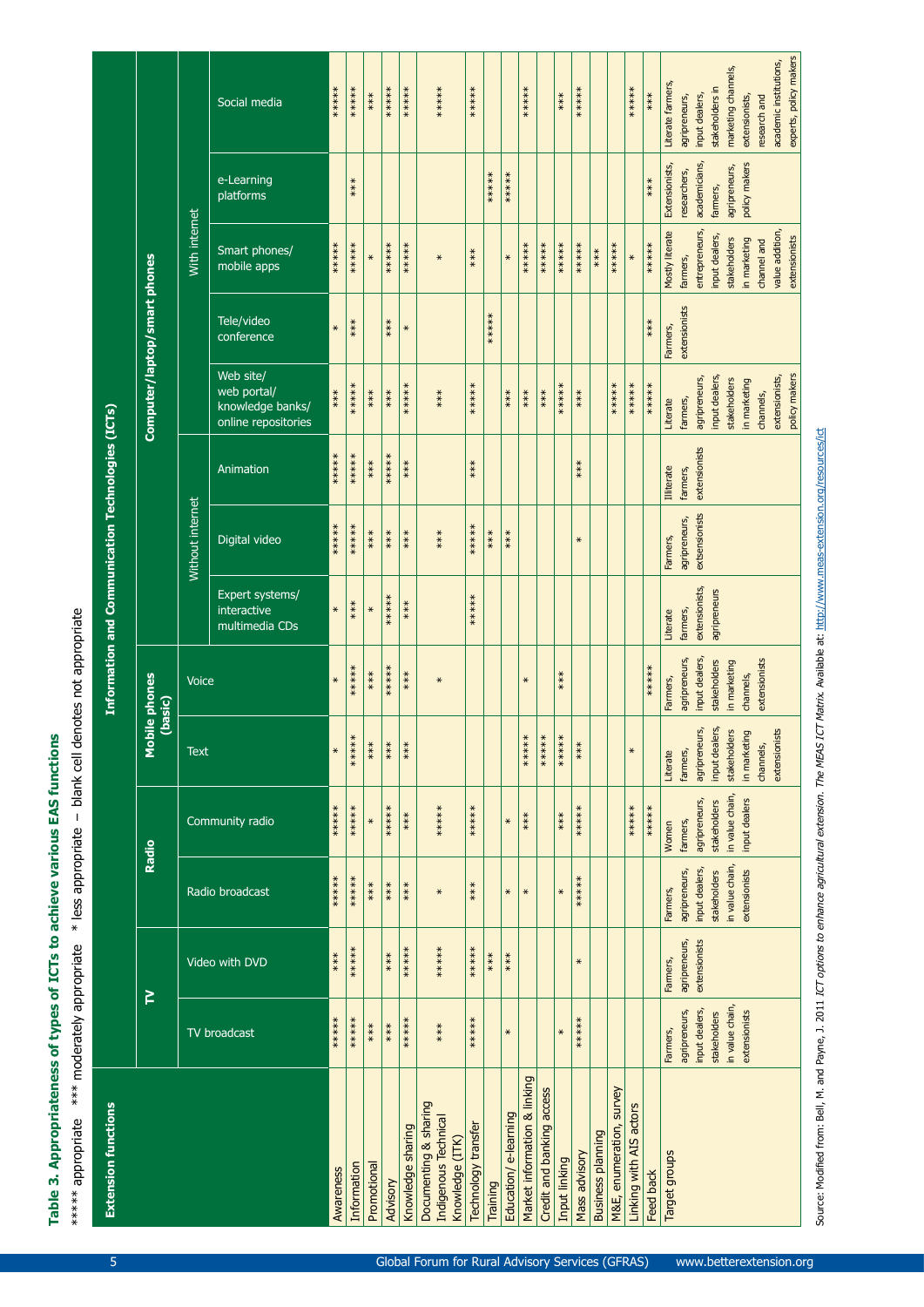\*\*\*\*\* appropriate \*\*\* moderately appropriate \* less appropriate - blank cell denotes not appropriate Table 3. Appropriateness of types of ICTs to achieve various EAS functions

5

| <b>Extension functions</b>                                       |                                 |                                |                                 |                           |                           |                                 | Information and Communication Technologies (ICTs) |                                 |                           |                                                                     |                          |                                  |                               |                                                  |
|------------------------------------------------------------------|---------------------------------|--------------------------------|---------------------------------|---------------------------|---------------------------|---------------------------------|---------------------------------------------------|---------------------------------|---------------------------|---------------------------------------------------------------------|--------------------------|----------------------------------|-------------------------------|--------------------------------------------------|
|                                                                  |                                 | ≧                              |                                 | Radio                     | 2                         | lobile phones<br>(basic)        |                                                   |                                 |                           | Computer/laptop/smart phones                                        |                          |                                  |                               |                                                  |
|                                                                  |                                 |                                |                                 |                           | <b>Text</b>               | Voice                           |                                                   | Without internet                |                           |                                                                     |                          | With internet                    |                               |                                                  |
|                                                                  | TV broadcast                    | Video with DVD                 | Radio broadcast                 | Community radio           |                           |                                 | Expert systems/<br>interactive<br>multimedia CDs  | Digital video                   | Animation                 | Web site/<br>web portal/<br>knowledge banks/<br>online repositories | Tele/video<br>conference | Smart phones/<br>mobile apps     | e-Learning<br>platforms       | Social media                                     |
| Awareness                                                        | ******                          | ***                            | ******                          | ******                    | $\star$                   | $\star$                         | $\ast$                                            | ******                          | $***$ ****                | $***$                                                               | $\star$                  | ******                           |                               | *****                                            |
| Information                                                      | ******                          | *****                          | ******                          | ******                    | $***$<br>$\ddot{*}$       | ******                          | $***$                                             | ******                          | ******                    | ******                                                              | $***$                    | ******                           | $***$                         | *****                                            |
| Promotional                                                      | $***$                           |                                | $***$                           | $\star$                   | $***$                     | $***$                           | $\ast$                                            | $***$                           | $***$                     | ***                                                                 |                          | $\ast$                           |                               | $***$                                            |
| Advisory                                                         | $***$                           | $***$                          | $***$                           | ******                    | ****                      | ******                          | ******                                            | $***$                           | ******                    | $***$                                                               | ***                      | ******                           |                               | ******                                           |
| Knowledge sharing                                                | ******                          | ******                         | $***$                           | ***                       | $***$                     | $***$                           | $***$                                             | $***$                           | $***$                     | ******                                                              | $\ast$                   | ******                           |                               | ******                                           |
| Documenting & sharing<br>Indigenous Technical<br>Knowledge (ITK) | $***$                           | ******                         | $\star$                         | ******                    |                           | $\star$                         |                                                   | $***$                           |                           | $***$                                                               |                          | $\star$                          |                               | ******                                           |
| Technology transfer                                              | ******                          | ******                         | ***                             | ******                    |                           |                                 | ******                                            | ******                          | ***                       | ******                                                              |                          | $***$                            |                               | ******                                           |
| Training                                                         |                                 | $***$                          |                                 |                           |                           |                                 |                                                   | $***$                           |                           |                                                                     | ******                   |                                  | ******                        |                                                  |
| Education/e-learning                                             | $\ast$                          | $***$                          | $\ast$                          | $\ast$                    |                           |                                 |                                                   | $***$                           |                           | ***                                                                 |                          | $\ast$                           | ******                        |                                                  |
| Market information & linking                                     |                                 |                                | $\ast$                          | ***                       | ******                    | $\ast$                          |                                                   |                                 |                           | $***$                                                               |                          | ******                           |                               | ******                                           |
| Credit and banking access                                        |                                 |                                |                                 |                           | ******                    |                                 |                                                   |                                 |                           | $***$                                                               |                          | ******                           |                               |                                                  |
| Input linking                                                    | $\star$                         |                                | $\star$                         | $***$                     | ******                    | $***$                           |                                                   |                                 |                           | ******                                                              |                          | ******                           |                               | ***                                              |
| Mass advisory                                                    | ******                          | $\star$                        | ******                          | ******                    | $***$                     |                                 |                                                   | $\ast$                          | $***$                     | $***$                                                               |                          | ******                           |                               | ******                                           |
| <b>Business planning</b>                                         |                                 |                                |                                 |                           |                           |                                 |                                                   |                                 |                           |                                                                     |                          | $***$                            |                               |                                                  |
| survey<br>M&E, enumeration,                                      |                                 |                                |                                 |                           |                           |                                 |                                                   |                                 |                           | ******                                                              |                          | ******                           |                               |                                                  |
| Linking with AIS actors                                          |                                 |                                |                                 | ******                    | $\ast$                    |                                 |                                                   |                                 |                           | $***$<br>$*$                                                        |                          | $\ast$                           |                               | ******                                           |
| Feed back                                                        |                                 |                                |                                 | ******                    |                           | ******                          |                                                   |                                 |                           | ******                                                              | $***$                    | ******                           | $***$                         | $***$                                            |
| Target groups                                                    | Farmers,                        | Farmers,                       | Farmers,                        | Women                     | Literate                  | Farmers,                        | Literate                                          | Farmers,                        | <b>Illiterate</b>         | Literate                                                            | Farmers,                 | Mostly literate                  | Extensionists,                | Literate farmers,                                |
|                                                                  | input dealers,<br>agripreneurs, | agripreneurs,<br>extensionists | input dealers,<br>agripreneurs, | agripreneurs,<br>farmers, | agripreneurs,<br>farmers, | input dealers,<br>agripreneurs, | extensionists,<br>farmers,                        | extsensionists<br>agripreneurs, | extensionists<br>farmers, | agripreneurs,<br>farmers,                                           | extensionists            | entrepreneurs,<br>farmers,       | academicians,<br>researchers, | input dealers,<br>agripreneurs,                  |
|                                                                  | stakeholders                    |                                | stakeholders                    | stakeholders              | input dealers,            | stakeholders                    | agripreneurs                                      |                                 |                           | input dealers,                                                      |                          | input dealers,                   | farmers,                      | stakeholders in                                  |
|                                                                  | in value chain,                 |                                | in value chain,                 | in value chain,           | stakeholders              | in marketing                    |                                                   |                                 |                           | stakeholders                                                        |                          | stakeholders                     | agripreneurs,                 | marketing channels,                              |
|                                                                  | extensionists                   |                                | extensionists                   | input dealers             | in marketing              | channels,                       |                                                   |                                 |                           | in marketing                                                        |                          | in marketing                     | policy makers                 | extensionists,                                   |
|                                                                  |                                 |                                |                                 |                           | channels,                 | extensionists                   |                                                   |                                 |                           | channels,                                                           |                          | channel and                      |                               | research and                                     |
|                                                                  |                                 |                                |                                 |                           | extensionists             |                                 |                                                   |                                 |                           | policy makers<br>extensionists,                                     |                          | value addition,<br>extensionists |                               | experts, policy makers<br>academic institutions, |
|                                                                  |                                 |                                |                                 |                           |                           |                                 |                                                   |                                 |                           |                                                                     |                          |                                  |                               |                                                  |

Source: Modified from: Bell, M. and Payne, J. 2011 ICT options to enhance agricultural extension. The MEAS ICT Matrix. Available at: http://www.meas-extension.org/resources/ict